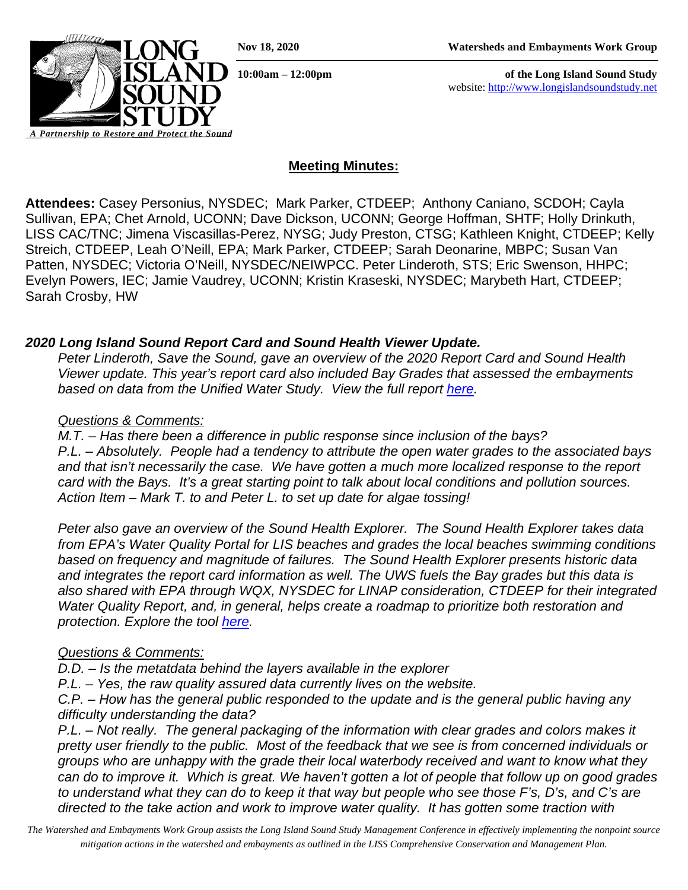**10:00am – 12:00pm of the Long Island Sound Study** website: [http://www.longislandsoundstudy.net](http://www.longislandsoundstudy.net/)



*Partnership to Restore and* 

# **Meeting Minutes:**

**Attendees:** Casey Personius, NYSDEC; Mark Parker, CTDEEP; Anthony Caniano, SCDOH; Cayla Sullivan, EPA; Chet Arnold, UCONN; Dave Dickson, UCONN; George Hoffman, SHTF; Holly Drinkuth, LISS CAC/TNC; Jimena Viscasillas-Perez, NYSG; Judy Preston, CTSG; Kathleen Knight, CTDEEP; Kelly Streich, CTDEEP, Leah O'Neill, EPA; Mark Parker, CTDEEP; Sarah Deonarine, MBPC; Susan Van Patten, NYSDEC; Victoria O'Neill, NYSDEC/NEIWPCC. Peter Linderoth, STS; Eric Swenson, HHPC; Evelyn Powers, IEC; Jamie Vaudrey, UCONN; Kristin Kraseski, NYSDEC; Marybeth Hart, CTDEEP; Sarah Crosby, HW

## *2020 Long Island Sound Report Card and Sound Health Viewer Update.*

*Peter Linderoth, Save the Sound, gave an overview of the 2020 Report Card and Sound Health Viewer update. This year's report card also included Bay Grades that assessed the embayments based on data from the Unified Water Study. View the full report [here.](https://www.savethesound.org/wp-content/uploads/2020/10/2020_Save_the_Sound_LIS_Report_Card_FINAL.pdf)* 

## *Questions & Comments:*

*M.T. – Has there been a difference in public response since inclusion of the bays? P.L. – Absolutely. People had a tendency to attribute the open water grades to the associated bays and that isn't necessarily the case. We have gotten a much more localized response to the report card with the Bays. It's a great starting point to talk about local conditions and pollution sources. Action Item – Mark T. to and Peter L. to set up date for algae tossing!* 

*Peter also gave an overview of the Sound Health Explorer. The Sound Health Explorer takes data from EPA's Water Quality Portal for LIS beaches and grades the local beaches swimming conditions based on frequency and magnitude of failures. The Sound Health Explorer presents historic data and integrates the report card information as well. The UWS fuels the Bay grades but this data is also shared with EPA through WQX, NYSDEC for LINAP consideration, CTDEEP for their integrated Water Quality Report, and, in general, helps create a roadmap to prioritize both restoration and protection. Explore the tool [here.](https://soundhealthexplorer.org/)* 

## *Questions & Comments:*

*D.D. – Is the metatdata behind the layers available in the explorer*

*P.L. – Yes, the raw quality assured data currently lives on the website.* 

*C.P. – How has the general public responded to the update and is the general public having any difficulty understanding the data?* 

*P.L. – Not really. The general packaging of the information with clear grades and colors makes it pretty user friendly to the public. Most of the feedback that we see is from concerned individuals or groups who are unhappy with the grade their local waterbody received and want to know what they can do to improve it. Which is great. We haven't gotten a lot of people that follow up on good grades to understand what they can do to keep it that way but people who see those F's, D's, and C's are directed to the take action and work to improve water quality. It has gotten some traction with*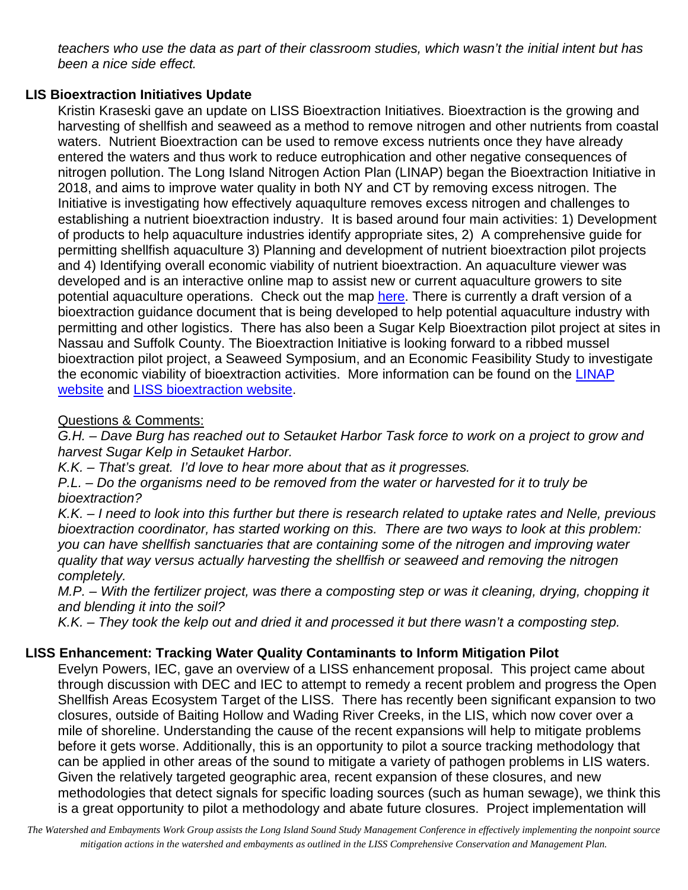*teachers who use the data as part of their classroom studies, which wasn't the initial intent but has been a nice side effect.* 

# **LIS Bioextraction Initiatives Update**

Kristin Kraseski gave an update on LISS Bioextraction Initiatives. Bioextraction is the growing and harvesting of shellfish and seaweed as a method to remove nitrogen and other nutrients from coastal waters. Nutrient Bioextraction can be used to remove excess nutrients once they have already entered the waters and thus work to reduce eutrophication and other negative consequences of nitrogen pollution. The Long Island Nitrogen Action Plan (LINAP) began the Bioextraction Initiative in 2018, and aims to improve water quality in both NY and CT by removing excess nitrogen. The Initiative is investigating how effectively aquaqulture removes excess nitrogen and challenges to establishing a nutrient bioextraction industry. It is based around four main activities: 1) Development of products to help aquaculture industries identify appropriate sites, 2) A comprehensive guide for permitting shellfish aquaculture 3) Planning and development of nutrient bioextraction pilot projects and 4) Identifying overall economic viability of nutrient bioextraction. An aquaculture viewer was developed and is an interactive online map to assist new or current aquaculture growers to site potential aquaculture operations. Check out the map [here.](https://nysdec.maps.arcgis.com/apps/webappviewer/index.html?id=f8799cefbb4c4751a209710d14b9ad46) There is currently a draft version of a bioextraction guidance document that is being developed to help potential aquaculture industry with permitting and other logistics. There has also been a Sugar Kelp Bioextraction pilot project at sites in Nassau and Suffolk County. The Bioextraction Initiative is looking forward to a ribbed mussel bioextraction pilot project, a Seaweed Symposium, and an Economic Feasibility Study to investigate the economic viability of bioextraction activities. More information can be found on the [LINAP](https://www.dec.ny.gov/lands/120992.html)  [website](https://www.dec.ny.gov/lands/120992.html) and [LISS bioextraction website.](https://longislandsoundstudy.net/our-vision-and-plan/clean-waters-and-healthy-watersheds/nutrient-bioextraction-overview/)

# Questions & Comments:

*G.H. – Dave Burg has reached out to Setauket Harbor Task force to work on a project to grow and harvest Sugar Kelp in Setauket Harbor.*

*K.K. – That's great. I'd love to hear more about that as it progresses.* 

*P.L. – Do the organisms need to be removed from the water or harvested for it to truly be bioextraction?* 

*K.K. – I need to look into this further but there is research related to uptake rates and Nelle, previous bioextraction coordinator, has started working on this. There are two ways to look at this problem: you can have shellfish sanctuaries that are containing some of the nitrogen and improving water quality that way versus actually harvesting the shellfish or seaweed and removing the nitrogen completely.* 

*M.P. – With the fertilizer project, was there a composting step or was it cleaning, drying, chopping it and blending it into the soil?* 

*K.K. – They took the kelp out and dried it and processed it but there wasn't a composting step.* 

# **LISS Enhancement: Tracking Water Quality Contaminants to Inform Mitigation Pilot**

Evelyn Powers, IEC, gave an overview of a LISS enhancement proposal. This project came about through discussion with DEC and IEC to attempt to remedy a recent problem and progress the Open Shellfish Areas Ecosystem Target of the LISS. There has recently been significant expansion to two closures, outside of Baiting Hollow and Wading River Creeks, in the LIS, which now cover over a mile of shoreline. Understanding the cause of the recent expansions will help to mitigate problems before it gets worse. Additionally, this is an opportunity to pilot a source tracking methodology that can be applied in other areas of the sound to mitigate a variety of pathogen problems in LIS waters. Given the relatively targeted geographic area, recent expansion of these closures, and new methodologies that detect signals for specific loading sources (such as human sewage), we think this is a great opportunity to pilot a methodology and abate future closures. Project implementation will